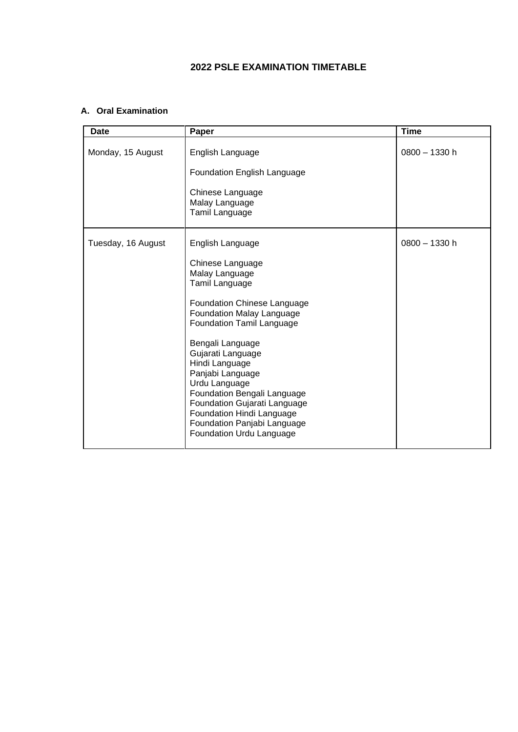## **2022 PSLE EXAMINATION TIMETABLE**

## **A. Oral Examination**

| <b>Date</b>        | Paper                                                                                                                                                                                                                                                                                                                                                                                                                           | <b>Time</b>     |
|--------------------|---------------------------------------------------------------------------------------------------------------------------------------------------------------------------------------------------------------------------------------------------------------------------------------------------------------------------------------------------------------------------------------------------------------------------------|-----------------|
| Monday, 15 August  | English Language<br><b>Foundation English Language</b><br>Chinese Language<br>Malay Language<br>Tamil Language                                                                                                                                                                                                                                                                                                                  | $0800 - 1330 h$ |
| Tuesday, 16 August | English Language<br>Chinese Language<br>Malay Language<br>Tamil Language<br><b>Foundation Chinese Language</b><br>Foundation Malay Language<br>Foundation Tamil Language<br>Bengali Language<br>Gujarati Language<br>Hindi Language<br>Panjabi Language<br>Urdu Language<br>Foundation Bengali Language<br>Foundation Gujarati Language<br>Foundation Hindi Language<br>Foundation Panjabi Language<br>Foundation Urdu Language | $0800 - 1330$ h |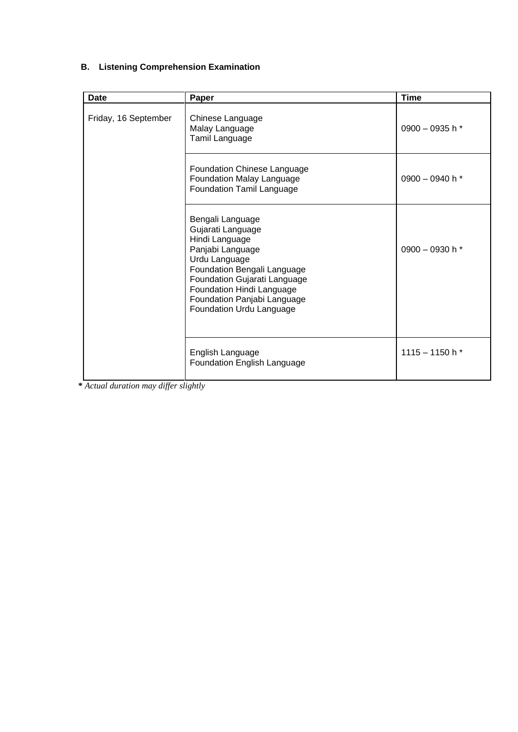## **B. Listening Comprehension Examination**

| Date                 | Paper                                                                                                                                                                                                                                               | <b>Time</b>       |
|----------------------|-----------------------------------------------------------------------------------------------------------------------------------------------------------------------------------------------------------------------------------------------------|-------------------|
| Friday, 16 September | Chinese Language<br>Malay Language<br>Tamil Language                                                                                                                                                                                                | 0900 - 0935 h $*$ |
|                      | Foundation Chinese Language<br><b>Foundation Malay Language</b><br>Foundation Tamil Language                                                                                                                                                        | 0900 - 0940 h $*$ |
|                      | Bengali Language<br>Gujarati Language<br>Hindi Language<br>Panjabi Language<br>Urdu Language<br>Foundation Bengali Language<br>Foundation Gujarati Language<br>Foundation Hindi Language<br>Foundation Panjabi Language<br>Foundation Urdu Language | 0900 - 0930 h $*$ |
|                      | English Language<br>Foundation English Language                                                                                                                                                                                                     | 1115 - 1150 h $*$ |

**\*** *Actual duration may differ slightly*